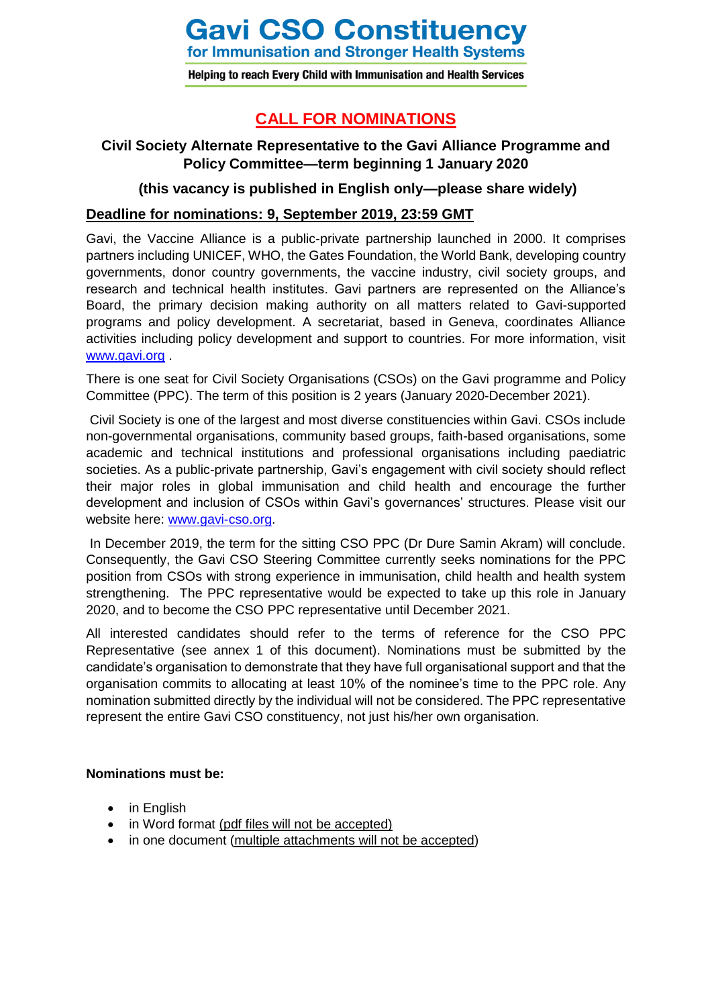# **Gavi CSO Constituency**

for Immunisation and Stronger Health Systems

Helping to reach Every Child with Immunisation and Health Services

# **CALL FOR NOMINATIONS**

# **Civil Society Alternate Representative to the Gavi Alliance Programme and Policy Committee—term beginning 1 January 2020**

# **(this vacancy is published in English only—please share widely)**

## **Deadline for nominations: 9, September 2019, 23:59 GMT**

Gavi, the Vaccine Alliance is a public-private partnership launched in 2000. It comprises partners including UNICEF, WHO, the Gates Foundation, the World Bank, developing country governments, donor country governments, the vaccine industry, civil society groups, and research and technical health institutes. Gavi partners are represented on the Alliance's Board, the primary decision making authority on all matters related to Gavi-supported programs and policy development. A secretariat, based in Geneva, coordinates Alliance activities including policy development and support to countries. For more information, visit [www.gavi.org](http://www.gavi.org/) .

There is one seat for Civil Society Organisations (CSOs) on the Gavi programme and Policy Committee (PPC). The term of this position is 2 years (January 2020-December 2021).

Civil Society is one of the largest and most diverse constituencies within Gavi. CSOs include non-governmental organisations, community based groups, faith-based organisations, some academic and technical institutions and professional organisations including paediatric societies. As a public-private partnership, Gavi's engagement with civil society should reflect their major roles in global immunisation and child health and encourage the further development and inclusion of CSOs within Gavi's governances' structures. Please visit our website here: [www.gavi-cso.org.](http://www.gavi-cso.org/)

In December 2019, the term for the sitting CSO PPC (Dr Dure Samin Akram) will conclude. Consequently, the Gavi CSO Steering Committee currently seeks nominations for the PPC position from CSOs with strong experience in immunisation, child health and health system strengthening. The PPC representative would be expected to take up this role in January 2020, and to become the CSO PPC representative until December 2021.

All interested candidates should refer to the terms of reference for the CSO PPC Representative (see annex 1 of this document). Nominations must be submitted by the candidate's organisation to demonstrate that they have full organisational support and that the organisation commits to allocating at least 10% of the nominee's time to the PPC role. Any nomination submitted directly by the individual will not be considered. The PPC representative represent the entire Gavi CSO constituency, not just his/her own organisation.

## **Nominations must be:**

- in English
- in Word format (pdf files will not be accepted)
- in one document (multiple attachments will not be accepted)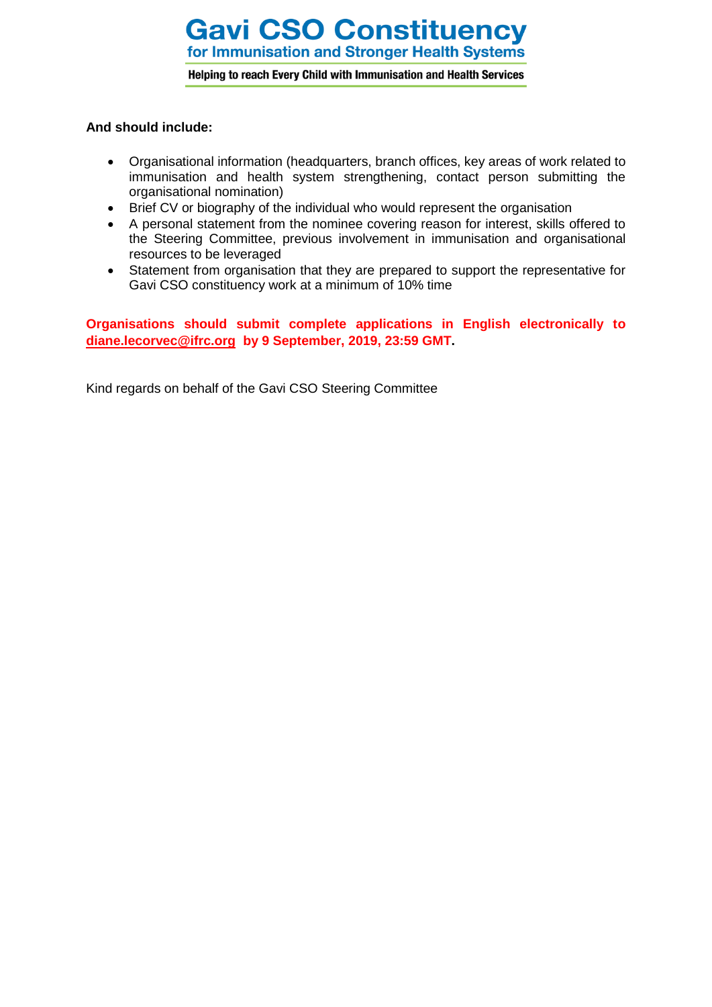# **Gavi CSO Constituency** for Immunisation and Stronger Health Systems

Helping to reach Every Child with Immunisation and Health Services

## **And should include:**

- Organisational information (headquarters, branch offices, key areas of work related to immunisation and health system strengthening, contact person submitting the organisational nomination)
- Brief CV or biography of the individual who would represent the organisation
- A personal statement from the nominee covering reason for interest, skills offered to the Steering Committee, previous involvement in immunisation and organisational resources to be leveraged
- Statement from organisation that they are prepared to support the representative for Gavi CSO constituency work at a minimum of 10% time

**Organisations should submit complete applications in English electronically to [diane.lecorvec@ifrc.org](mailto:diane.lecorvec@ifrc.org) by 9 September, 2019, 23:59 GMT.**

Kind regards on behalf of the Gavi CSO Steering Committee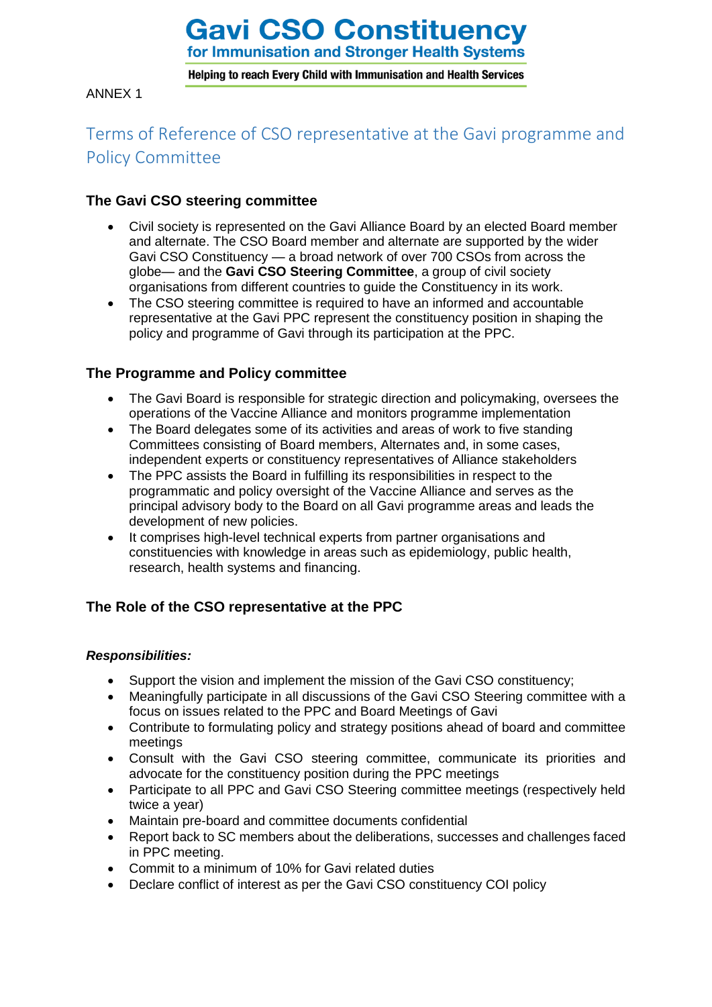# **Gavi CSO Constituency**

for Immunisation and Stronger Health Systems

Helping to reach Every Child with Immunisation and Health Services

ANNEX 1

# Terms of Reference of CSO representative at the Gavi programme and Policy Committee

## **The Gavi CSO steering committee**

- Civil society is represented on the Gavi Alliance Board by an elected Board member and alternate. The CSO Board member and alternate are supported by the wider Gavi CSO Constituency — a broad network of over 700 CSOs from across the globe— and the **Gavi CSO Steering Committee**, a group of civil society organisations from different countries to guide the Constituency in its work.
- The CSO steering committee is required to have an informed and accountable representative at the Gavi PPC represent the constituency position in shaping the policy and programme of Gavi through its participation at the PPC.

# **The Programme and Policy committee**

- The Gavi Board is responsible for strategic direction and policymaking, oversees the operations of the Vaccine Alliance and monitors programme implementation
- The Board delegates some of its activities and areas of work to five standing Committees consisting of Board members, Alternates and, in some cases, independent experts or constituency representatives of Alliance stakeholders
- The PPC assists the Board in fulfilling its responsibilities in respect to the programmatic and policy oversight of the Vaccine Alliance and serves as the principal advisory body to the Board on all Gavi programme areas and leads the development of new policies.
- It comprises high-level technical experts from partner organisations and constituencies with knowledge in areas such as epidemiology, public health, research, health systems and financing.

# **The Role of the CSO representative at the PPC**

## *Responsibilities:*

- Support the vision and implement the mission of the Gavi CSO constituency;
- Meaningfully participate in all discussions of the Gavi CSO Steering committee with a focus on issues related to the PPC and Board Meetings of Gavi
- Contribute to formulating policy and strategy positions ahead of board and committee meetings
- Consult with the Gavi CSO steering committee, communicate its priorities and advocate for the constituency position during the PPC meetings
- Participate to all PPC and Gavi CSO Steering committee meetings (respectively held twice a year)
- Maintain pre-board and committee documents confidential
- Report back to SC members about the deliberations, successes and challenges faced in PPC meeting.
- Commit to a minimum of 10% for Gavi related duties
- Declare conflict of interest as per the Gavi CSO constituency COI policy